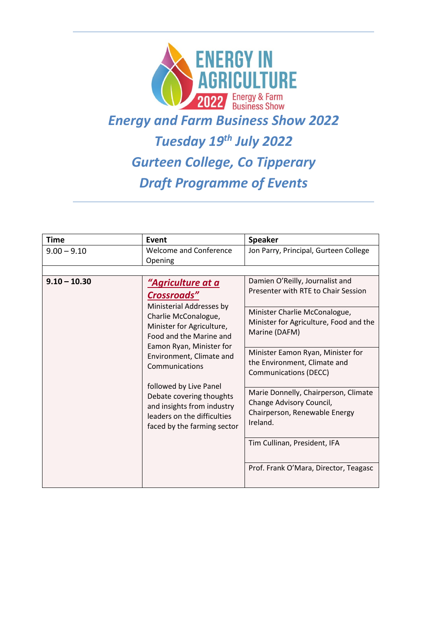

### *Energy and Farm Business Show 2022*

#### *Tuesday 19th July 2022*

## *Gurteen College, Co Tipperary Draft Programme of Events*

| Time           | Event                                                                                                                                                                                                                                                                                                                                                                                   | <b>Speaker</b>                                                                                                |
|----------------|-----------------------------------------------------------------------------------------------------------------------------------------------------------------------------------------------------------------------------------------------------------------------------------------------------------------------------------------------------------------------------------------|---------------------------------------------------------------------------------------------------------------|
| $9.00 - 9.10$  | <b>Welcome and Conference</b><br>Opening                                                                                                                                                                                                                                                                                                                                                | Jon Parry, Principal, Gurteen College                                                                         |
|                |                                                                                                                                                                                                                                                                                                                                                                                         |                                                                                                               |
| $9.10 - 10.30$ | <u> "Agriculture at a</u><br><b>Crossroads"</b><br>Ministerial Addresses by<br>Charlie McConalogue,<br>Minister for Agriculture,<br>Food and the Marine and<br>Eamon Ryan, Minister for<br>Environment, Climate and<br>Communications<br>followed by Live Panel<br>Debate covering thoughts<br>and insights from industry<br>leaders on the difficulties<br>faced by the farming sector | Damien O'Reilly, Journalist and<br>Presenter with RTE to Chair Session                                        |
|                |                                                                                                                                                                                                                                                                                                                                                                                         | Minister Charlie McConalogue,<br>Minister for Agriculture, Food and the<br>Marine (DAFM)                      |
|                |                                                                                                                                                                                                                                                                                                                                                                                         | Minister Eamon Ryan, Minister for<br>the Environment, Climate and<br><b>Communications (DECC)</b>             |
|                |                                                                                                                                                                                                                                                                                                                                                                                         | Marie Donnelly, Chairperson, Climate<br>Change Advisory Council,<br>Chairperson, Renewable Energy<br>Ireland. |
|                |                                                                                                                                                                                                                                                                                                                                                                                         | Tim Cullinan, President, IFA                                                                                  |
|                |                                                                                                                                                                                                                                                                                                                                                                                         | Prof. Frank O'Mara, Director, Teagasc                                                                         |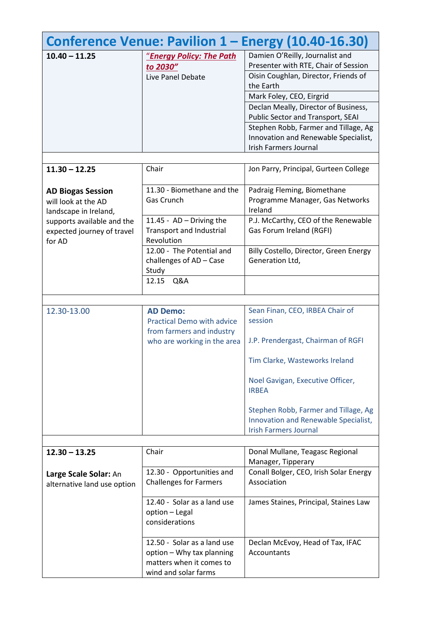|                                                                          |                                                                                                                  | Conference Venue: Pavilion 1 - Energy (10.40-16.30)                                                                                                                                                                                                                                                                   |
|--------------------------------------------------------------------------|------------------------------------------------------------------------------------------------------------------|-----------------------------------------------------------------------------------------------------------------------------------------------------------------------------------------------------------------------------------------------------------------------------------------------------------------------|
| $10.40 - 11.25$                                                          | "Energy Policy: The Path<br>to 2030"<br>Live Panel Debate                                                        | Damien O'Reilly, Journalist and<br>Presenter with RTE, Chair of Session<br>Oisin Coughlan, Director, Friends of<br>the Earth<br>Mark Foley, CEO, Eirgrid<br>Declan Meally, Director of Business,<br>Public Sector and Transport, SEAI<br>Stephen Robb, Farmer and Tillage, Ag<br>Innovation and Renewable Specialist, |
|                                                                          |                                                                                                                  | <b>Irish Farmers Journal</b>                                                                                                                                                                                                                                                                                          |
| $11.30 - 12.25$                                                          | Chair                                                                                                            | Jon Parry, Principal, Gurteen College                                                                                                                                                                                                                                                                                 |
| <b>AD Biogas Session</b><br>will look at the AD<br>landscape in Ireland, | 11.30 - Biomethane and the<br>Gas Crunch                                                                         | Padraig Fleming, Biomethane<br>Programme Manager, Gas Networks<br>Ireland                                                                                                                                                                                                                                             |
| supports available and the<br>expected journey of travel<br>for AD       | 11.45 - $AD - Diving$ the<br><b>Transport and Industrial</b><br>Revolution                                       | P.J. McCarthy, CEO of the Renewable<br>Gas Forum Ireland (RGFI)                                                                                                                                                                                                                                                       |
|                                                                          | 12.00 - The Potential and<br>challenges of AD - Case<br>Study                                                    | Billy Costello, Director, Green Energy<br>Generation Ltd,                                                                                                                                                                                                                                                             |
|                                                                          | 12.15<br>Q&A                                                                                                     |                                                                                                                                                                                                                                                                                                                       |
| 12.30-13.00                                                              | <b>AD Demo:</b><br><b>Practical Demo with advice</b><br>from farmers and industry<br>who are working in the area | Sean Finan, CEO, IRBEA Chair of<br>session<br>J.P. Prendergast, Chairman of RGFI<br>Tim Clarke, Wasteworks Ireland<br>Noel Gavigan, Executive Officer,<br><b>IRBEA</b><br>Stephen Robb, Farmer and Tillage, Ag<br>Innovation and Renewable Specialist,<br><b>Irish Farmers Journal</b>                                |
| $12.30 - 13.25$                                                          | Chair                                                                                                            | Donal Mullane, Teagasc Regional                                                                                                                                                                                                                                                                                       |
| Large Scale Solar: An<br>alternative land use option                     | 12.30 - Opportunities and<br><b>Challenges for Farmers</b><br>12.40 - Solar as a land use                        | Manager, Tipperary<br>Conall Bolger, CEO, Irish Solar Energy<br>Association<br>James Staines, Principal, Staines Law                                                                                                                                                                                                  |
|                                                                          | option - Legal<br>considerations                                                                                 |                                                                                                                                                                                                                                                                                                                       |
|                                                                          | 12.50 - Solar as a land use<br>option - Why tax planning<br>matters when it comes to<br>wind and solar farms     | Declan McEvoy, Head of Tax, IFAC<br>Accountants                                                                                                                                                                                                                                                                       |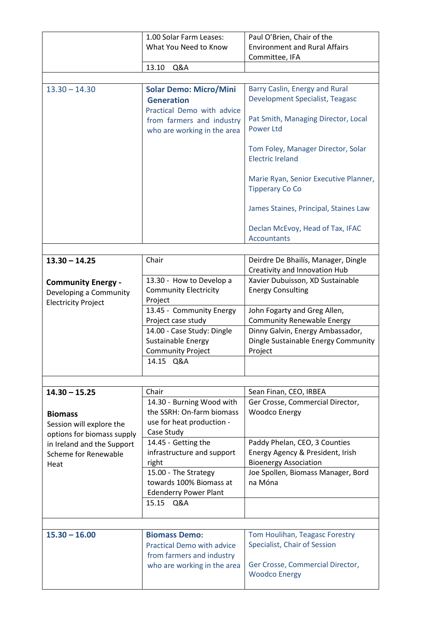|                                                                                   | 1.00 Solar Farm Leases:                                                                           | Paul O'Brien, Chair of the                                                                        |
|-----------------------------------------------------------------------------------|---------------------------------------------------------------------------------------------------|---------------------------------------------------------------------------------------------------|
|                                                                                   | What You Need to Know                                                                             | <b>Environment and Rural Affairs</b><br>Committee, IFA                                            |
|                                                                                   | 13.10<br>Q&A                                                                                      |                                                                                                   |
|                                                                                   |                                                                                                   |                                                                                                   |
| $13.30 - 14.30$                                                                   | <b>Solar Demo: Micro/Mini</b><br><b>Generation</b><br>Practical Demo with advice                  | Barry Caslin, Energy and Rural<br><b>Development Specialist, Teagasc</b>                          |
|                                                                                   | from farmers and industry<br>who are working in the area                                          | Pat Smith, Managing Director, Local<br><b>Power Ltd</b>                                           |
|                                                                                   |                                                                                                   | Tom Foley, Manager Director, Solar<br><b>Electric Ireland</b>                                     |
|                                                                                   |                                                                                                   | Marie Ryan, Senior Executive Planner,<br><b>Tipperary Co Co</b>                                   |
|                                                                                   |                                                                                                   | James Staines, Principal, Staines Law                                                             |
|                                                                                   |                                                                                                   | Declan McEvoy, Head of Tax, IFAC<br><b>Accountants</b>                                            |
|                                                                                   |                                                                                                   |                                                                                                   |
| $13.30 - 14.25$                                                                   | Chair                                                                                             | Deirdre De Bhailís, Manager, Dingle<br>Creativity and Innovation Hub                              |
| <b>Community Energy -</b><br>Developing a Community<br><b>Electricity Project</b> | 13.30 - How to Develop a<br><b>Community Electricity</b><br>Project                               | Xavier Dubuisson, XD Sustainable<br><b>Energy Consulting</b>                                      |
|                                                                                   | 13.45 - Community Energy<br>Project case study                                                    | John Fogarty and Greg Allen,<br><b>Community Renewable Energy</b>                                 |
|                                                                                   | 14.00 - Case Study: Dingle<br>Sustainable Energy<br><b>Community Project</b>                      | Dinny Galvin, Energy Ambassador,<br>Dingle Sustainable Energy Community<br>Project                |
|                                                                                   | 14.15 Q&A                                                                                         |                                                                                                   |
|                                                                                   |                                                                                                   |                                                                                                   |
| $14.30 - 15.25$                                                                   | Chair                                                                                             | Sean Finan, CEO, IRBEA                                                                            |
| <b>Biomass</b><br>Session will explore the<br>options for biomass supply          | 14.30 - Burning Wood with<br>the SSRH: On-farm biomass<br>use for heat production -<br>Case Study | Ger Crosse, Commercial Director,<br><b>Woodco Energy</b>                                          |
| in Ireland and the Support<br>Scheme for Renewable<br>Heat                        | 14.45 - Getting the<br>infrastructure and support<br>right                                        | Paddy Phelan, CEO, 3 Counties<br>Energy Agency & President, Irish<br><b>Bioenergy Association</b> |
|                                                                                   | 15.00 - The Strategy<br>towards 100% Biomass at<br><b>Edenderry Power Plant</b>                   | Joe Spollen, Biomass Manager, Bord<br>na Móna                                                     |
|                                                                                   | 15.15 Q&A                                                                                         |                                                                                                   |
|                                                                                   |                                                                                                   |                                                                                                   |
| $15.30 - 16.00$                                                                   | <b>Biomass Demo:</b><br><b>Practical Demo with advice</b><br>from farmers and industry            | Tom Houlihan, Teagasc Forestry<br>Specialist, Chair of Session                                    |
|                                                                                   | who are working in the area                                                                       | Ger Crosse, Commercial Director,<br><b>Woodco Energy</b>                                          |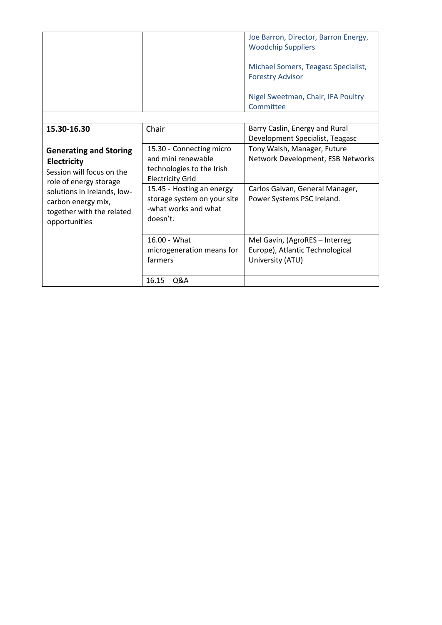|                               |                             | Joe Barron, Director, Barron Energy,<br><b>Woodchip Suppliers</b> |
|-------------------------------|-----------------------------|-------------------------------------------------------------------|
|                               |                             | Michael Somers, Teagasc Specialist,<br><b>Forestry Advisor</b>    |
|                               |                             | Nigel Sweetman, Chair, IFA Poultry<br>Committee                   |
|                               |                             |                                                                   |
| 15.30-16.30                   | Chair                       | Barry Caslin, Energy and Rural                                    |
|                               |                             | Development Specialist, Teagasc                                   |
| <b>Generating and Storing</b> | 15.30 - Connecting micro    | Tony Walsh, Manager, Future                                       |
| <b>Electricity</b>            | and mini renewable          | Network Development, ESB Networks                                 |
| Session will focus on the     | technologies to the Irish   |                                                                   |
| role of energy storage        | <b>Electricity Grid</b>     |                                                                   |
| solutions in Irelands, low-   | 15.45 - Hosting an energy   | Carlos Galvan, General Manager,                                   |
| carbon energy mix,            | storage system on your site | Power Systems PSC Ireland.                                        |
| together with the related     | -what works and what        |                                                                   |
| opportunities                 | doesn't.                    |                                                                   |
|                               |                             |                                                                   |
|                               | 16.00 - What                | Mel Gavin, (AgroRES - Interreg                                    |
|                               | microgeneration means for   | Europe), Atlantic Technological                                   |
|                               | farmers                     | University (ATU)                                                  |
|                               |                             |                                                                   |
|                               | 16.15<br>Q&A                |                                                                   |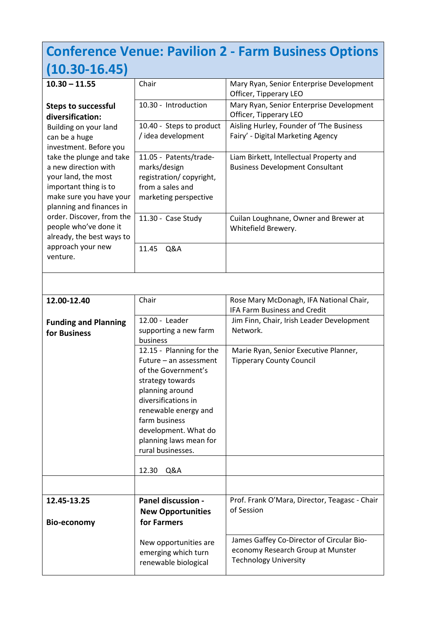### **Conference Venue: Pavilion 2 - Farm Business Options (10.30-16.45)**

| $10.30 - 11.55$                                                                                                                                         | Chair                                                                                                          | Mary Ryan, Senior Enterprise Development<br>Officer, Tipperary LEO                |
|---------------------------------------------------------------------------------------------------------------------------------------------------------|----------------------------------------------------------------------------------------------------------------|-----------------------------------------------------------------------------------|
| <b>Steps to successful</b><br>diversification:                                                                                                          | 10.30 - Introduction                                                                                           | Mary Ryan, Senior Enterprise Development<br>Officer, Tipperary LEO                |
| Building on your land<br>can be a huge<br>investment. Before you                                                                                        | 10.40 - Steps to product<br>/ idea development                                                                 | Aisling Hurley, Founder of 'The Business<br>Fairy' - Digital Marketing Agency     |
| take the plunge and take<br>a new direction with<br>your land, the most<br>important thing is to<br>make sure you have your<br>planning and finances in | 11.05 - Patents/trade-<br>marks/design<br>registration/copyright,<br>from a sales and<br>marketing perspective | Liam Birkett, Intellectual Property and<br><b>Business Development Consultant</b> |
| order. Discover, from the<br>people who've done it<br>already, the best ways to                                                                         | 11.30 - Case Study                                                                                             | Cuilan Loughnane, Owner and Brewer at<br>Whitefield Brewery.                      |
| approach your new<br>venture.                                                                                                                           | 11.45<br>Q&A                                                                                                   |                                                                                   |
|                                                                                                                                                         |                                                                                                                |                                                                                   |
| 12.00-12.40                                                                                                                                             | Chair                                                                                                          | Rose Mary McDonagh, IFA National Chair,                                           |

| 12.UU-12.4U                                 | <b>UITAII</b>                                                                                                                                                           | NOSE IVIALY IVICDOHABH, II A NACIOHAL CHAIL,<br><b>IFA Farm Business and Credit</b>                                               |
|---------------------------------------------|-------------------------------------------------------------------------------------------------------------------------------------------------------------------------|-----------------------------------------------------------------------------------------------------------------------------------|
| <b>Funding and Planning</b><br>for Business | 12.00 - Leader<br>supporting a new farm<br>business<br>12.15 - Planning for the<br>Future - an assessment<br>of the Government's<br>strategy towards<br>planning around | Jim Finn, Chair, Irish Leader Development<br>Network.<br>Marie Ryan, Senior Executive Planner,<br><b>Tipperary County Council</b> |
|                                             | diversifications in<br>renewable energy and<br>farm business<br>development. What do<br>planning laws mean for<br>rural businesses.                                     |                                                                                                                                   |
|                                             | Q&A<br>12.30                                                                                                                                                            |                                                                                                                                   |
|                                             |                                                                                                                                                                         |                                                                                                                                   |
| 12.45-13.25<br><b>Bio-economy</b>           | Panel discussion -<br><b>New Opportunities</b><br>for Farmers                                                                                                           | Prof. Frank O'Mara, Director, Teagasc - Chair<br>of Session                                                                       |
|                                             | New opportunities are<br>emerging which turn<br>renewable biological                                                                                                    | James Gaffey Co-Director of Circular Bio-<br>economy Research Group at Munster<br><b>Technology University</b>                    |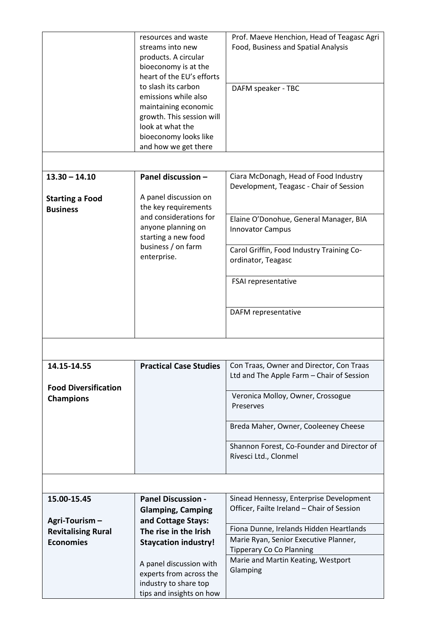|                             | resources and waste                               | Prof. Maeve Henchion, Head of Teagasc Agri                          |
|-----------------------------|---------------------------------------------------|---------------------------------------------------------------------|
|                             | streams into new                                  | Food, Business and Spatial Analysis                                 |
|                             | products. A circular                              |                                                                     |
|                             | bioeconomy is at the                              |                                                                     |
|                             | heart of the EU's efforts                         |                                                                     |
|                             | to slash its carbon                               | DAFM speaker - TBC                                                  |
|                             | emissions while also                              |                                                                     |
|                             | maintaining economic                              |                                                                     |
|                             | growth. This session will                         |                                                                     |
|                             | look at what the                                  |                                                                     |
|                             | bioeconomy looks like                             |                                                                     |
|                             | and how we get there                              |                                                                     |
|                             |                                                   |                                                                     |
| $13.30 - 14.10$             | Panel discussion -                                | Ciara McDonagh, Head of Food Industry                               |
|                             |                                                   | Development, Teagasc - Chair of Session                             |
| <b>Starting a Food</b>      | A panel discussion on                             |                                                                     |
| <b>Business</b>             | the key requirements                              |                                                                     |
|                             | and considerations for                            | Elaine O'Donohue, General Manager, BIA                              |
|                             | anyone planning on                                | <b>Innovator Campus</b>                                             |
|                             | starting a new food                               |                                                                     |
|                             | business / on farm                                | Carol Griffin, Food Industry Training Co-                           |
|                             | enterprise.                                       | ordinator, Teagasc                                                  |
|                             |                                                   |                                                                     |
|                             |                                                   | FSAI representative                                                 |
|                             |                                                   |                                                                     |
|                             |                                                   |                                                                     |
|                             |                                                   | DAFM representative                                                 |
|                             |                                                   |                                                                     |
|                             |                                                   |                                                                     |
|                             |                                                   |                                                                     |
| 14.15-14.55                 | <b>Practical Case Studies</b>                     | Con Traas, Owner and Director, Con Traas                            |
|                             |                                                   |                                                                     |
|                             |                                                   | Ltd and The Apple Farm - Chair of Session                           |
| <b>Food Diversification</b> |                                                   |                                                                     |
| <b>Champions</b>            |                                                   | Veronica Molloy, Owner, Crossogue                                   |
|                             |                                                   | Preserves                                                           |
|                             |                                                   |                                                                     |
|                             |                                                   | Breda Maher, Owner, Cooleeney Cheese                                |
|                             |                                                   |                                                                     |
|                             |                                                   | Shannon Forest, Co-Founder and Director of<br>Rívesci Ltd., Clonmel |
|                             |                                                   |                                                                     |
|                             |                                                   |                                                                     |
|                             |                                                   |                                                                     |
| 15.00-15.45                 | <b>Panel Discussion -</b>                         | Sinead Hennessy, Enterprise Development                             |
|                             | <b>Glamping, Camping</b>                          | Officer, Failte Ireland - Chair of Session                          |
| Agri-Tourism-               | and Cottage Stays:                                |                                                                     |
| <b>Revitalising Rural</b>   | The rise in the Irish                             | Fiona Dunne, Irelands Hidden Heartlands                             |
| <b>Economies</b>            | <b>Staycation industry!</b>                       | Marie Ryan, Senior Executive Planner,                               |
|                             |                                                   | <b>Tipperary Co Co Planning</b>                                     |
|                             | A panel discussion with                           | Marie and Martin Keating, Westport                                  |
|                             | experts from across the                           | Glamping                                                            |
|                             | industry to share top<br>tips and insights on how |                                                                     |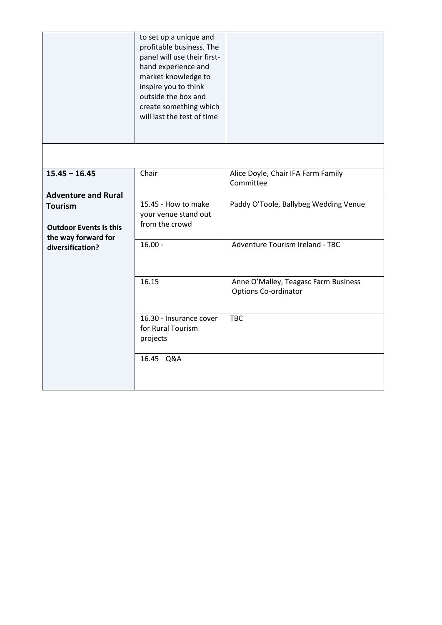|                                                                        | to set up a unique and<br>profitable business. The<br>panel will use their first-<br>hand experience and<br>market knowledge to<br>inspire you to think<br>outside the box and<br>create something which<br>will last the test of time |                                                              |
|------------------------------------------------------------------------|----------------------------------------------------------------------------------------------------------------------------------------------------------------------------------------------------------------------------------------|--------------------------------------------------------------|
|                                                                        |                                                                                                                                                                                                                                        |                                                              |
| $15.45 - 16.45$<br><b>Adventure and Rural</b>                          | Chair                                                                                                                                                                                                                                  | Alice Doyle, Chair IFA Farm Family<br>Committee              |
| <b>Tourism</b><br><b>Outdoor Events Is this</b><br>the way forward for | 15.45 - How to make<br>your venue stand out<br>from the crowd                                                                                                                                                                          | Paddy O'Toole, Ballybeg Wedding Venue                        |
| diversification?                                                       | $16.00 -$                                                                                                                                                                                                                              | Adventure Tourism Ireland - TBC                              |
|                                                                        | 16.15                                                                                                                                                                                                                                  | Anne O'Malley, Teagasc Farm Business<br>Options Co-ordinator |
|                                                                        | 16.30 - Insurance cover<br>for Rural Tourism<br>projects                                                                                                                                                                               | <b>TBC</b>                                                   |
|                                                                        | 16.45 Q&A                                                                                                                                                                                                                              |                                                              |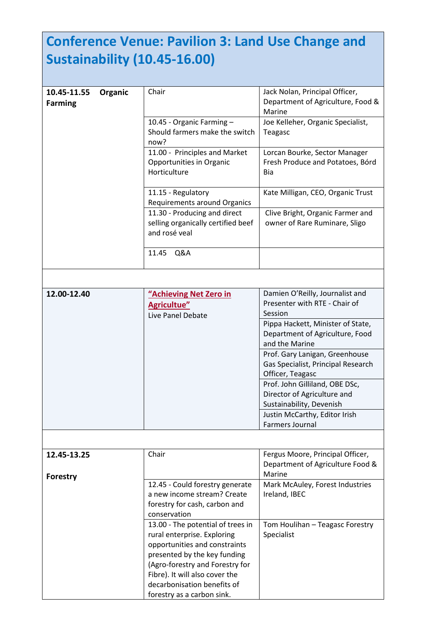# **Conference Venue: Pavilion 3: Land Use Change and Sustainability (10.45-16.00)**

| 10.45-11.55     | Organic | Chair                              | Jack Nolan, Principal Officer,     |
|-----------------|---------|------------------------------------|------------------------------------|
| <b>Farming</b>  |         |                                    | Department of Agriculture, Food &  |
|                 |         |                                    | Marine                             |
|                 |         | 10.45 - Organic Farming -          | Joe Kelleher, Organic Specialist,  |
|                 |         | Should farmers make the switch     | Teagasc                            |
|                 |         | now?                               |                                    |
|                 |         | 11.00 - Principles and Market      | Lorcan Bourke, Sector Manager      |
|                 |         | Opportunities in Organic           | Fresh Produce and Potatoes, Bórd   |
|                 |         | Horticulture                       | Bia                                |
|                 |         |                                    |                                    |
|                 |         | 11.15 - Regulatory                 | Kate Milligan, CEO, Organic Trust  |
|                 |         | Requirements around Organics       |                                    |
|                 |         | 11.30 - Producing and direct       | Clive Bright, Organic Farmer and   |
|                 |         | selling organically certified beef | owner of Rare Ruminare, Sligo      |
|                 |         | and rosé veal                      |                                    |
|                 |         |                                    |                                    |
|                 |         | 11.45<br>Q&A                       |                                    |
|                 |         |                                    |                                    |
|                 |         |                                    |                                    |
| 12.00-12.40     |         | "Achieving Net Zero in             | Damien O'Reilly, Journalist and    |
|                 |         | <b>Agricultue"</b>                 | Presenter with RTE - Chair of      |
|                 |         | Live Panel Debate                  | Session                            |
|                 |         |                                    | Pippa Hackett, Minister of State,  |
|                 |         |                                    | Department of Agriculture, Food    |
|                 |         |                                    | and the Marine                     |
|                 |         |                                    | Prof. Gary Lanigan, Greenhouse     |
|                 |         |                                    | Gas Specialist, Principal Research |
|                 |         |                                    | Officer, Teagasc                   |
|                 |         |                                    | Prof. John Gilliland, OBE DSc,     |
|                 |         |                                    | Director of Agriculture and        |
|                 |         |                                    | Sustainability, Devenish           |
|                 |         |                                    | Justin McCarthy, Editor Irish      |
|                 |         |                                    | Farmers Journal                    |
|                 |         |                                    |                                    |
| 12.45-13.25     |         | Chair                              | Fergus Moore, Principal Officer,   |
|                 |         |                                    | Department of Agriculture Food &   |
|                 |         |                                    | Marine                             |
| <b>Forestry</b> |         | 12.45 - Could forestry generate    | Mark McAuley, Forest Industries    |
|                 |         | a new income stream? Create        | Ireland, IBEC                      |
|                 |         | forestry for cash, carbon and      |                                    |
|                 |         | conservation                       |                                    |
|                 |         | 13.00 - The potential of trees in  | Tom Houlihan - Teagasc Forestry    |
|                 |         | rural enterprise. Exploring        | Specialist                         |
|                 |         | opportunities and constraints      |                                    |
|                 |         | presented by the key funding       |                                    |
|                 |         | (Agro-forestry and Forestry for    |                                    |
|                 |         | Fibre). It will also cover the     |                                    |
|                 |         | decarbonisation benefits of        |                                    |
|                 |         | forestry as a carbon sink.         |                                    |
|                 |         |                                    |                                    |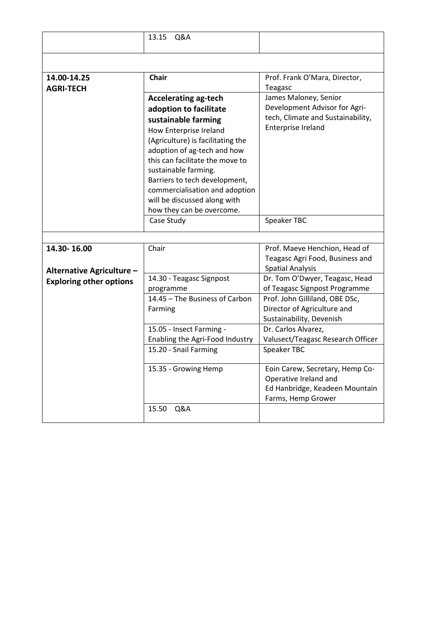|                                          | Q&A<br>13.15                                                                                                                                                                                                                                                                                                                                                   |                                                                                                                                                              |
|------------------------------------------|----------------------------------------------------------------------------------------------------------------------------------------------------------------------------------------------------------------------------------------------------------------------------------------------------------------------------------------------------------------|--------------------------------------------------------------------------------------------------------------------------------------------------------------|
|                                          |                                                                                                                                                                                                                                                                                                                                                                |                                                                                                                                                              |
| 14.00-14.25                              | <b>Chair</b>                                                                                                                                                                                                                                                                                                                                                   | Prof. Frank O'Mara, Director,                                                                                                                                |
| <b>AGRI-TECH</b>                         | Accelerating ag-tech<br>adoption to facilitate<br>sustainable farming<br>How Enterprise Ireland<br>(Agriculture) is facilitating the<br>adoption of ag-tech and how<br>this can facilitate the move to<br>sustainable farming.<br>Barriers to tech development,<br>commercialisation and adoption<br>will be discussed along with<br>how they can be overcome. | Teagasc<br>James Maloney, Senior<br>Development Advisor for Agri-<br>tech, Climate and Sustainability,<br>Enterprise Ireland                                 |
|                                          | Case Study                                                                                                                                                                                                                                                                                                                                                     | Speaker TBC                                                                                                                                                  |
|                                          |                                                                                                                                                                                                                                                                                                                                                                |                                                                                                                                                              |
| 14.30-16.00<br>Alternative Agriculture - | Chair                                                                                                                                                                                                                                                                                                                                                          | Prof. Maeve Henchion, Head of<br>Teagasc Agri Food, Business and<br><b>Spatial Analysis</b>                                                                  |
| <b>Exploring other options</b>           | 14.30 - Teagasc Signpost<br>programme<br>14.45 - The Business of Carbon<br>Farming                                                                                                                                                                                                                                                                             | Dr. Tom O'Dwyer, Teagasc, Head<br>of Teagasc Signpost Programme<br>Prof. John Gilliland, OBE DSc,<br>Director of Agriculture and<br>Sustainability, Devenish |
|                                          | 15.05 - Insect Farming -<br>Enabling the Agri-Food Industry                                                                                                                                                                                                                                                                                                    | Dr. Carlos Alvarez,<br>Valusect/Teagasc Research Officer                                                                                                     |
|                                          | 15.20 - Snail Farming                                                                                                                                                                                                                                                                                                                                          | <b>Speaker TBC</b>                                                                                                                                           |
|                                          | 15.35 - Growing Hemp                                                                                                                                                                                                                                                                                                                                           | Eoin Carew, Secretary, Hemp Co-<br>Operative Ireland and<br>Ed Hanbridge, Keadeen Mountain<br>Farms, Hemp Grower                                             |
|                                          | 15.50<br>Q&A                                                                                                                                                                                                                                                                                                                                                   |                                                                                                                                                              |